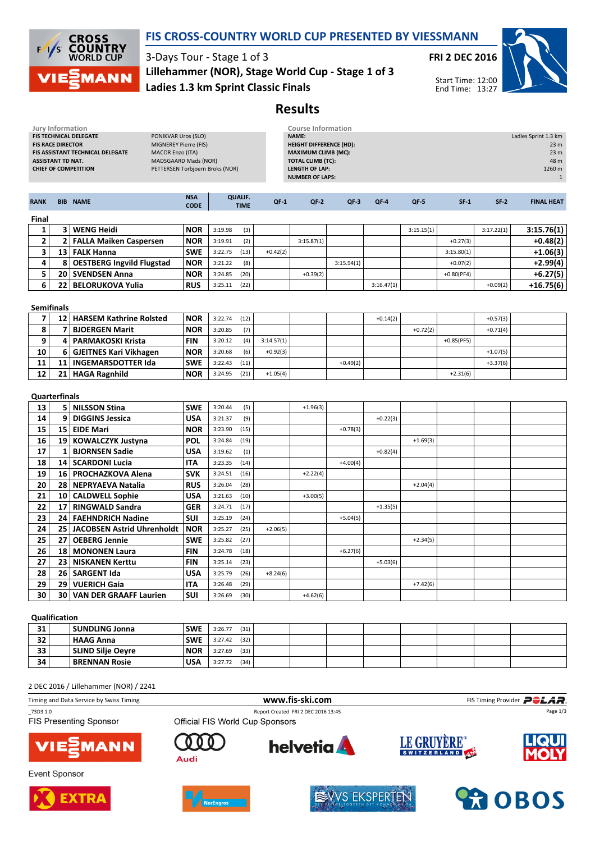

### FIS CROSS-COUNTRY WORLD CUP PRESENTED BY VIESSMANN

3-Days Tour - Stage 1 of 3 Ladies 1.3 km Sprint Classic Finals Lillehammer (NOR), Stage World Cup - Stage 1 of 3 FRI 2 DEC 2016



Start Time: 12:00 End Time: 13:27

## Results

| Jury Information<br>FIS TECHNICAL DELEGATE<br>PONIKVAR Uros (SLO)<br>MIGNEREY Pierre (FIS)<br><b>FIS RACE DIRECTOR</b><br><b>MACOR Enzo (ITA)</b><br>FIS ASSISTANT TECHNICAL DELEGATE<br>MADSGAARD Mads (NOR)<br><b>ASSISTANT TD NAT.</b><br>PETTERSEN Torbjoern Broks (NOR)<br><b>CHIEF OF COMPETITION</b> |                         |                                   |                           |         |                               | <b>Course Information</b><br><b>NAME:</b><br><b>HEIGHT DIFFERENCE (HD):</b><br><b>MAXIMUM CLIMB (MC):</b><br><b>TOTAL CLIMB (TC):</b><br><b>LENGTH OF LAP:</b><br><b>NUMBER OF LAPS:</b> |            |            | Ladies Sprint 1.3 km<br>23 <sub>m</sub><br>23 <sub>m</sub><br>48 m<br>1260 m<br>$1\,$ |            |              |            |                   |
|-------------------------------------------------------------------------------------------------------------------------------------------------------------------------------------------------------------------------------------------------------------------------------------------------------------|-------------------------|-----------------------------------|---------------------------|---------|-------------------------------|------------------------------------------------------------------------------------------------------------------------------------------------------------------------------------------|------------|------------|---------------------------------------------------------------------------------------|------------|--------------|------------|-------------------|
| <b>RANK</b>                                                                                                                                                                                                                                                                                                 |                         | <b>BIB NAME</b>                   | <b>NSA</b><br><b>CODE</b> |         | <b>QUALIF.</b><br><b>TIME</b> | $QF-1$                                                                                                                                                                                   | $QF-2$     | $QF-3$     | $QF-4$                                                                                | QF-5       | $SF-1$       | $SF-2$     | <b>FINAL HEAT</b> |
| Final                                                                                                                                                                                                                                                                                                       |                         |                                   |                           |         |                               |                                                                                                                                                                                          |            |            |                                                                                       |            |              |            |                   |
| 1                                                                                                                                                                                                                                                                                                           |                         | 3 WENG Heidi                      | <b>NOR</b>                | 3:19.98 | (3)                           |                                                                                                                                                                                          |            |            |                                                                                       | 3:15.15(1) |              | 3:17.22(1) | 3:15.76(1)        |
| $\mathbf{2}$                                                                                                                                                                                                                                                                                                | $\mathbf{2}$            | <b>FALLA Maiken Caspersen</b>     | <b>NOR</b>                | 3:19.91 | (2)                           |                                                                                                                                                                                          | 3:15.87(1) |            |                                                                                       |            | $+0.27(3)$   |            | $+0.48(2)$        |
| 3                                                                                                                                                                                                                                                                                                           | 13 <sup>1</sup>         | <b>FALK Hanna</b>                 | <b>SWE</b>                | 3:22.75 | (13)                          | $+0.42(2)$                                                                                                                                                                               |            |            |                                                                                       |            | 3:15.80(1)   |            | +1.06(3)          |
| 4                                                                                                                                                                                                                                                                                                           | 8                       | <b>OESTBERG Ingvild Flugstad</b>  | <b>NOR</b>                | 3:21.22 | (8)                           |                                                                                                                                                                                          |            | 3:15.94(1) |                                                                                       |            | $+0.07(2)$   |            | $+2.99(4)$        |
| 5                                                                                                                                                                                                                                                                                                           |                         | 20   SVENDSEN Anna                | <b>NOR</b>                | 3:24.85 | (20)                          |                                                                                                                                                                                          | $+0.39(2)$ |            |                                                                                       |            | $+0.80(PF4)$ |            | $+6.27(5)$        |
| 6                                                                                                                                                                                                                                                                                                           | 22                      | <b>BELORUKOVA Yulia</b>           | <b>RUS</b>                | 3:25.11 | (22)                          |                                                                                                                                                                                          |            |            | 3:16.47(1)                                                                            |            |              | $+0.09(2)$ | $+16.75(6)$       |
| <b>Semifinals</b>                                                                                                                                                                                                                                                                                           |                         |                                   |                           |         |                               |                                                                                                                                                                                          |            |            |                                                                                       |            |              |            |                   |
| $\overline{7}$                                                                                                                                                                                                                                                                                              |                         | 12   HARSEM Kathrine Rolsted      | <b>NOR</b>                | 3:22.74 | (12)                          |                                                                                                                                                                                          |            |            | $+0.14(2)$                                                                            |            |              | $+0.57(3)$ |                   |
| 8                                                                                                                                                                                                                                                                                                           | $\overline{\mathbf{z}}$ | <b>BJOERGEN Marit</b>             | <b>NOR</b>                | 3:20.85 | (7)                           |                                                                                                                                                                                          |            |            |                                                                                       | $+0.72(2)$ |              | $+0.71(4)$ |                   |
| 9                                                                                                                                                                                                                                                                                                           | 4                       | <b>PARMAKOSKI Krista</b>          | <b>FIN</b>                | 3:20.12 | (4)                           | 3:14.57(1)                                                                                                                                                                               |            |            |                                                                                       |            | $+0.85(PF5)$ |            |                   |
| 10                                                                                                                                                                                                                                                                                                          | 6                       | <b>GJEITNES Kari Vikhagen</b>     | <b>NOR</b>                | 3:20.68 | (6)                           | $+0.92(3)$                                                                                                                                                                               |            |            |                                                                                       |            |              | $+1.07(5)$ |                   |
| 11                                                                                                                                                                                                                                                                                                          | 11                      | <b>INGEMARSDOTTER Ida</b>         | <b>SWE</b>                | 3:22.43 | (11)                          |                                                                                                                                                                                          |            | $+0.49(2)$ |                                                                                       |            |              | $+3.37(6)$ |                   |
| 12                                                                                                                                                                                                                                                                                                          |                         | 21   HAGA Ragnhild                | <b>NOR</b>                | 3:24.95 | (21)                          | $+1.05(4)$                                                                                                                                                                               |            |            |                                                                                       |            | $+2.31(6)$   |            |                   |
| <b>Quarterfinals</b>                                                                                                                                                                                                                                                                                        |                         |                                   |                           |         |                               |                                                                                                                                                                                          |            |            |                                                                                       |            |              |            |                   |
| 13                                                                                                                                                                                                                                                                                                          |                         | 5   NILSSON Stina                 | <b>SWE</b>                | 3:20.44 | (5)                           |                                                                                                                                                                                          | $+1.96(3)$ |            |                                                                                       |            |              |            |                   |
| 14                                                                                                                                                                                                                                                                                                          | 9                       | <b>DIGGINS Jessica</b>            | USA                       | 3:21.37 | (9)                           |                                                                                                                                                                                          |            |            | $+0.22(3)$                                                                            |            |              |            |                   |
| 15                                                                                                                                                                                                                                                                                                          | 15                      | <b>EIDE Mari</b>                  | <b>NOR</b>                | 3:23.90 | (15)                          |                                                                                                                                                                                          |            | $+0.78(3)$ |                                                                                       |            |              |            |                   |
| 16                                                                                                                                                                                                                                                                                                          |                         | 19   KOWALCZYK Justyna            | <b>POL</b>                | 3:24.84 | (19)                          |                                                                                                                                                                                          |            |            |                                                                                       | $+1.69(3)$ |              |            |                   |
| 17                                                                                                                                                                                                                                                                                                          | 1                       | <b>BJORNSEN Sadie</b>             | USA                       | 3:19.62 | (1)                           |                                                                                                                                                                                          |            |            | $+0.82(4)$                                                                            |            |              |            |                   |
| 18                                                                                                                                                                                                                                                                                                          | 14                      | <b>SCARDONI Lucia</b>             | <b>ITA</b>                | 3:23.35 | (14)                          |                                                                                                                                                                                          |            | $+4.00(4)$ |                                                                                       |            |              |            |                   |
| 19                                                                                                                                                                                                                                                                                                          | 16                      | <b>PROCHAZKOVA Alena</b>          | <b>SVK</b>                | 3:24.51 | (16)                          |                                                                                                                                                                                          | $+2.22(4)$ |            |                                                                                       |            |              |            |                   |
| 20                                                                                                                                                                                                                                                                                                          | 28                      | <b>NEPRYAEVA Natalia</b>          | <b>RUS</b>                | 3:26.04 | (28)                          |                                                                                                                                                                                          |            |            |                                                                                       | $+2.04(4)$ |              |            |                   |
| 21                                                                                                                                                                                                                                                                                                          | 10                      | <b>CALDWELL Sophie</b>            | <b>USA</b>                | 3:21.63 | (10)                          |                                                                                                                                                                                          | $+3.00(5)$ |            |                                                                                       |            |              |            |                   |
| 22                                                                                                                                                                                                                                                                                                          | 17                      | <b>RINGWALD Sandra</b>            | <b>GER</b>                | 3:24.71 | (17)                          |                                                                                                                                                                                          |            |            | $+1.35(5)$                                                                            |            |              |            |                   |
| 23                                                                                                                                                                                                                                                                                                          | 24                      | <b>FAEHNDRICH Nadine</b>          | <b>SUI</b>                | 3:25.19 | (24)                          |                                                                                                                                                                                          |            | $+5.04(5)$ |                                                                                       |            |              |            |                   |
| 24                                                                                                                                                                                                                                                                                                          | 25                      | <b>JACOBSEN Astrid Uhrenholdt</b> | <b>NOR</b>                | 3:25.27 | (25)                          | $+2.06(5)$                                                                                                                                                                               |            |            |                                                                                       |            |              |            |                   |
| 25                                                                                                                                                                                                                                                                                                          | 27                      | <b>OEBERG Jennie</b>              | <b>SWE</b>                | 3:25.82 | (27)                          |                                                                                                                                                                                          |            |            |                                                                                       | $+2.34(5)$ |              |            |                   |
| 26                                                                                                                                                                                                                                                                                                          | 18                      | <b>MONONEN Laura</b>              | <b>FIN</b>                | 3:24.78 | (18)                          |                                                                                                                                                                                          |            | $+6.27(6)$ |                                                                                       |            |              |            |                   |
| 27                                                                                                                                                                                                                                                                                                          | 23                      | <b>NISKANEN Kerttu</b>            | <b>FIN</b>                | 3:25.14 | (23)                          |                                                                                                                                                                                          |            |            | $+5.03(6)$                                                                            |            |              |            |                   |
| 28                                                                                                                                                                                                                                                                                                          | 26                      | <b>SARGENT Ida</b>                | <b>USA</b>                | 3:25.79 | (26)                          | $+8.24(6)$                                                                                                                                                                               |            |            |                                                                                       |            |              |            |                   |
| 29                                                                                                                                                                                                                                                                                                          | 29                      | VUERICH Gaia                      | ITA                       | 3:26.48 | (29)                          |                                                                                                                                                                                          |            |            |                                                                                       | $+7.42(6)$ |              |            |                   |
| 30                                                                                                                                                                                                                                                                                                          | 30                      | <b>VAN DER GRAAFF Laurien</b>     | <b>SUI</b>                | 3:26.69 | (30)                          |                                                                                                                                                                                          | $+4.62(6)$ |            |                                                                                       |            |              |            |                   |
| Qualification                                                                                                                                                                                                                                                                                               |                         |                                   |                           |         |                               |                                                                                                                                                                                          |            |            |                                                                                       |            |              |            |                   |

### **31 SUNDLING Jonna** SWE 3:26.77 (31) **32 HAAG Anna** SWE 3:27.42 (32) **33** SLIND Silje Oeyre NOR 3:27.69 (33) **34 BRENNAN Rosie USA** 3:27.72 (34)

#### 2 DEC 2016 / Lillehammer (NOR) / 2241

Timing and Data Service by Swiss Timing **WWW.fis-Ski.com WWW.fis-Ski.com** FIS Timing Provider **PCLAR** \_73D3 1.0 Report Created FRI 2 DEC 2016 13:45 Page 1/3**FIS Presenting Sponsor** Official FIS World Cup Sponsors LE GRUYÈRE®  $\Omega$ **helvetia** o **MANN** Audi









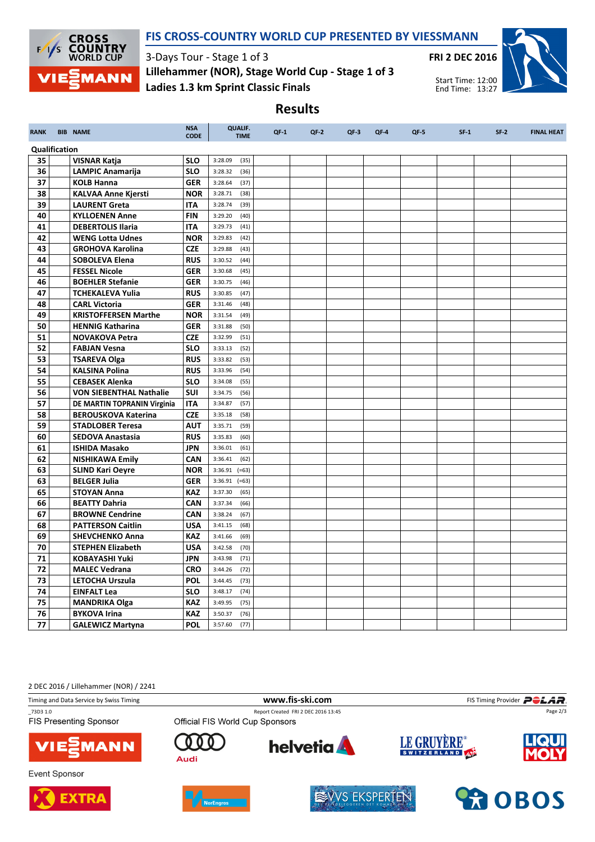

### FIS CROSS-COUNTRY WORLD CUP PRESENTED BY VIESSMANN

3-Days Tour - Stage 1 of 3 Ladies 1.3 km Sprint Classic Finals Lillehammer (NOR), Stage World Cup - Stage 1 of 3



# Results

| <b>RANK</b>   |  | <b>BIB NAME</b>                | <b>NSA</b><br><b>CODE</b> | <b>QUALIF.</b><br><b>TIME</b> | $QF-1$ | $QF-2$ | $QF-3$ | QF-4 | $QF-5$ | $SF-1$ | $SF-2$ | <b>FINAL HEAT</b> |
|---------------|--|--------------------------------|---------------------------|-------------------------------|--------|--------|--------|------|--------|--------|--------|-------------------|
| Qualification |  |                                |                           |                               |        |        |        |      |        |        |        |                   |
| 35            |  | <b>VISNAR Katja</b>            | <b>SLO</b>                | 3:28.09<br>(35)               |        |        |        |      |        |        |        |                   |
| 36            |  | <b>LAMPIC Anamarija</b>        | <b>SLO</b>                | 3:28.32<br>(36)               |        |        |        |      |        |        |        |                   |
| 37            |  | <b>KOLB Hanna</b>              | <b>GER</b>                | 3:28.64<br>(37)               |        |        |        |      |        |        |        |                   |
| 38            |  | <b>KALVAA Anne Kjersti</b>     | <b>NOR</b>                | 3:28.71<br>(38)               |        |        |        |      |        |        |        |                   |
| 39            |  | <b>LAURENT Greta</b>           | <b>ITA</b>                | 3:28.74<br>(39)               |        |        |        |      |        |        |        |                   |
| 40            |  | <b>KYLLOENEN Anne</b>          | <b>FIN</b>                | 3:29.20<br>(40)               |        |        |        |      |        |        |        |                   |
| 41            |  | <b>DEBERTOLIS Ilaria</b>       | <b>ITA</b>                | 3:29.73<br>(41)               |        |        |        |      |        |        |        |                   |
| 42            |  | <b>WENG Lotta Udnes</b>        | <b>NOR</b>                | 3:29.83<br>(42)               |        |        |        |      |        |        |        |                   |
| 43            |  | <b>GROHOVA Karolina</b>        | <b>CZE</b>                | 3:29.88<br>(43)               |        |        |        |      |        |        |        |                   |
| 44            |  | <b>SOBOLEVA Elena</b>          | <b>RUS</b>                | 3:30.52<br>(44)               |        |        |        |      |        |        |        |                   |
| 45            |  | <b>FESSEL Nicole</b>           | <b>GER</b>                | 3:30.68<br>(45)               |        |        |        |      |        |        |        |                   |
| 46            |  | <b>BOEHLER Stefanie</b>        | <b>GER</b>                | 3:30.75<br>(46)               |        |        |        |      |        |        |        |                   |
| 47            |  | <b>TCHEKALEVA Yulia</b>        | <b>RUS</b>                | 3:30.85<br>(47)               |        |        |        |      |        |        |        |                   |
| 48            |  | <b>CARL Victoria</b>           | <b>GER</b>                | 3:31.46<br>(48)               |        |        |        |      |        |        |        |                   |
| 49            |  | <b>KRISTOFFERSEN Marthe</b>    | <b>NOR</b>                | 3:31.54<br>(49)               |        |        |        |      |        |        |        |                   |
| 50            |  | <b>HENNIG Katharina</b>        | <b>GER</b>                | 3:31.88<br>(50)               |        |        |        |      |        |        |        |                   |
| 51            |  | <b>NOVAKOVA Petra</b>          | <b>CZE</b>                | 3:32.99<br>(51)               |        |        |        |      |        |        |        |                   |
| 52            |  | <b>FABJAN Vesna</b>            | <b>SLO</b>                | 3:33.13<br>(52)               |        |        |        |      |        |        |        |                   |
| 53            |  | <b>TSAREVA Olga</b>            | <b>RUS</b>                | 3:33.82<br>(53)               |        |        |        |      |        |        |        |                   |
| 54            |  | <b>KALSINA Polina</b>          | <b>RUS</b>                | 3:33.96<br>(54)               |        |        |        |      |        |        |        |                   |
| 55            |  | <b>CEBASEK Alenka</b>          | <b>SLO</b>                | 3:34.08<br>(55)               |        |        |        |      |        |        |        |                   |
| 56            |  | <b>VON SIEBENTHAL Nathalie</b> | SUI                       | 3:34.75<br>(56)               |        |        |        |      |        |        |        |                   |
| 57            |  | DE MARTIN TOPRANIN Virginia    | <b>ITA</b>                | 3:34.87<br>(57)               |        |        |        |      |        |        |        |                   |
| 58            |  | <b>BEROUSKOVA Katerina</b>     | <b>CZE</b>                | 3:35.18<br>(58)               |        |        |        |      |        |        |        |                   |
| 59            |  | <b>STADLOBER Teresa</b>        | <b>AUT</b>                | 3:35.71<br>(59)               |        |        |        |      |        |        |        |                   |
| 60            |  | <b>SEDOVA Anastasia</b>        | <b>RUS</b>                | 3:35.83<br>(60)               |        |        |        |      |        |        |        |                   |
| 61            |  | <b>ISHIDA Masako</b>           | <b>JPN</b>                | 3:36.01<br>(61)               |        |        |        |      |        |        |        |                   |
| 62            |  | <b>NISHIKAWA Emily</b>         | CAN                       | 3:36.41<br>(62)               |        |        |        |      |        |        |        |                   |
| 63            |  | <b>SLIND Kari Oeyre</b>        | <b>NOR</b>                | 3:36.91<br>$(=63)$            |        |        |        |      |        |        |        |                   |
| 63            |  | <b>BELGER Julia</b>            | <b>GER</b>                | $3:36.91$ (=63)               |        |        |        |      |        |        |        |                   |
| 65            |  | <b>STOYAN Anna</b>             | <b>KAZ</b>                | 3:37.30<br>(65)               |        |        |        |      |        |        |        |                   |
| 66            |  | <b>BEATTY Dahria</b>           | <b>CAN</b>                | 3:37.34<br>(66)               |        |        |        |      |        |        |        |                   |
| 67            |  | <b>BROWNE Cendrine</b>         | CAN                       | 3:38.24<br>(67)               |        |        |        |      |        |        |        |                   |
| 68            |  | <b>PATTERSON Caitlin</b>       | <b>USA</b>                | 3:41.15<br>(68)               |        |        |        |      |        |        |        |                   |
| 69            |  | <b>SHEVCHENKO Anna</b>         | <b>KAZ</b>                | 3:41.66<br>(69)               |        |        |        |      |        |        |        |                   |
| 70            |  | <b>STEPHEN Elizabeth</b>       | <b>USA</b>                | 3:42.58<br>(70)               |        |        |        |      |        |        |        |                   |
| 71            |  | <b>KOBAYASHI Yuki</b>          | <b>JPN</b>                | 3:43.98<br>(71)               |        |        |        |      |        |        |        |                   |
| 72            |  | <b>MALEC Vedrana</b>           | <b>CRO</b>                | 3:44.26<br>(72)               |        |        |        |      |        |        |        |                   |
| 73            |  | LETOCHA Urszula                | <b>POL</b>                | 3:44.45<br>(73)               |        |        |        |      |        |        |        |                   |
| 74            |  | <b>EINFALT Lea</b>             | <b>SLO</b>                | 3:48.17<br>(74)               |        |        |        |      |        |        |        |                   |
| 75            |  | <b>MANDRIKA Olga</b>           | <b>KAZ</b>                | 3:49.95<br>(75)               |        |        |        |      |        |        |        |                   |
| 76            |  | <b>BYKOVA Irina</b>            | <b>KAZ</b>                | 3:50.37<br>(76)               |        |        |        |      |        |        |        |                   |
| 77            |  | <b>GALEWICZ Martyna</b>        | <b>POL</b>                | 3:57.60<br>(77)               |        |        |        |      |        |        |        |                   |

2 DEC 2016 / Lillehammer (NOR) / 2241

Timing and Data Service by Swiss Timing **WWW.fis-Ski.com WWW.fis-Ski.com** FIS Timing Provider **PCLAR** 

\_73D3 1.0 Report Created FRI 2 DEC 2016 13:45 **FIS Presenting Sponsor** 



**Event Sponsor** 





n O

Audi



**helvetia** 



LE GRUYÈRE®

Page 2/3